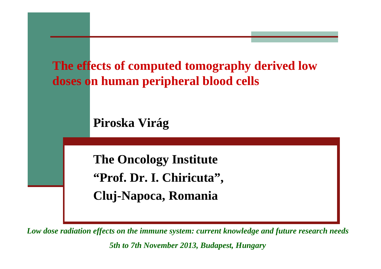

*Low dose radiation effects on the immune system: current knowledge and future research needs5th to 7th November 2013, Budapest, Hungary*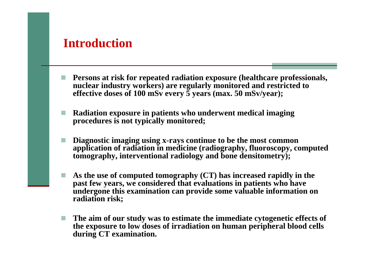## **Introduction**

- **Persons at risk for repeated radiation exposure (healthcare professionals, nuclear industry workers) are regularly monitored and restricted to effective doses of 100 mSv every 5 years (max. 50 mSv/year);**
- **Radiation exposure in patients who underwent medical imaging procedures is not typically monitored;**
- **Diagnostic imaging using x-rays continue to be the most common application of radiation in medicine (radiography, fluoroscopy, computed tomography, interventional radiology and bone densitometry);**
- **As the use of computed tomography (CT) has increased rapidly in the past few years, we considered that evaluations in patients who have undergone this examination can provide some valuable information on radiation risk;**
- **The aim of our study was to estimate the immediate cytogenetic effects of the exposure to low doses of irradiation on human peripheral blood cells during CT examination.**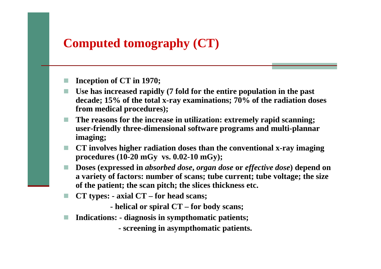# **Computed tomography (CT)**

- **Inception of CT in 1970;**
- **Use has increased rapidly (7 fold for the entire population in the past decade; 15% of the total x-ray examinations; 70% of the radiation doses from medical procedures);**
- **The reasons for the increase in utilization: extremely rapid scanning; user-friendly three-dimensional software programs and multi-plannar imaging;**
- **CT involves higher radiation doses than the conventional x-ray imaging procedures (10-20 mGy vs. 0.02-10 mGy);**
- **Doses (expressed in** *absorbed dose***,** *organ dose* **or** *effective dose***) depend on a variety of factors: number of scans; tube current; tube voltage; the size of the patient; the scan pitch; the slices thickness etc.**
- m. **CT types: - axial CT – for head scans;**
	- **- helical or spiral CT – for body scans;**
- $\mathcal{L}_{\mathcal{A}}$ **Indications: - diagnosis in sympthomatic patients;**

**- screening in asympthomatic patients.**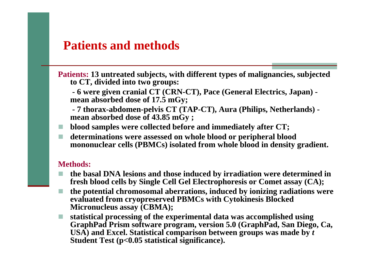## **Patients and methods**

**Patients: 13 untreated subjects, with different types of malignancies, subjected to CT, divided into two groups:** 

**- 6 were given cranial CT (CRN-CT), Pace (General Electrics, Japan) mean absorbed dose of 17.5 mGy;**

**- 7 thorax-abdomen-pelvis CT (TAP-CT), Aura (Philips, Netherlands) mean absorbed dose of 43.85 mGy ;** 

**blood samples were collected before and immediately after CT;** 

T. **determinations were assessed on whole blood or peripheral blood mononuclear cells (PBMCs) isolated from whole blood in density gradient.**

#### **Methods:**

- **the basal DNA lesions and those induced by irradiation were determined in fresh blood cells by Single Cell Gel Electrophoresis or Comet assay (CA);**
- **the potential chromosomal aberrations, induced by ionizing radiations were evaluated from cryopreserved PBMCs with Cytokinesis BlockedMicronucleus assay (CBMA);**
- **statistical processing of the experimental data was accomplished using GraphPad Prism software program, version 5.0 (GraphPad, San Diego, Ca, USA) and Excel. Statistical comparison between groups was made by** *t* **Student Test (p<0.05 statistical significance).**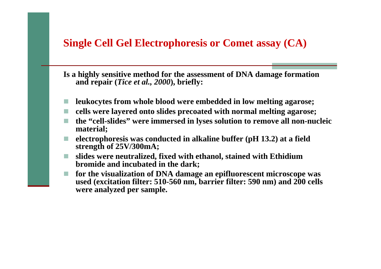### **Single Cell Gel Electrophoresis or Comet assay (CA)**

**Is a highly sensitive method for the assessment of DNA damage formation and repair (***Tice et al., 2000***), briefly:**

- **leukocytes from whole blood were embedded in low melting agarose;**
- **cells were layered onto slides precoated with normal melting agarose;**
- **the "cell-slides" were immersed in lyses solution to remove all non-nucleic material;**
- **electrophoresis was conducted in alkaline buffer (pH 13.2) at a field strength of 25V/300mA;**
- **slides were neutralized, fixed with ethanol, stained with Ethidium bromide and incubated in the dark;**
- **for the visualization of DNA damage an epifluorescent microscope was used (excitation filter: 510-560 nm, barrier filter: 590 nm) and 200 cells were analyzed per sample.**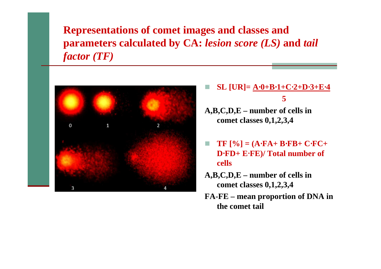**Representations of comet images and classes and parameters calculated by CA:** *lesion score (LS)* **and** *tail factor (TF)*



- **SL [UR]= A**⋅**0+B**⋅**1+C**⋅**2+D**⋅**3+E**⋅**<sup>4</sup> 5**
- **A,B,C,D,E – number of cells in comet classes 0,1,2,3,4**
- $\sim$  **TF [%] = (A**⋅**FA+ B**⋅**FB+ C**⋅**FC+ D**⋅**FD+ E**⋅**FE)/ Total number of cells**
- **A,B,C,D,E – number of cells in comet classes 0,1,2,3,4**
- **FA-FE – mean proportion of DNA in the comet tail**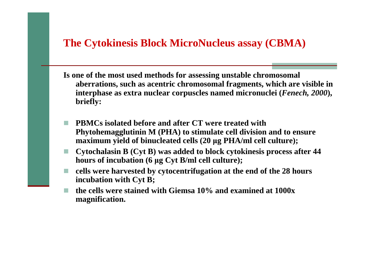### **The Cytokinesis Block MicroNucleus assay (CBMA)**

- **Is one of the most used methods for assessing unstable chromosomal aberrations, such as acentric chromosomal fragments, which are visible in interphase as extra nuclear corpuscles named micronuclei (***Fenech, 2000***), briefly:**
- **PBMCs isolated before and after CT were treated with Phytohemagglutinin M (PHA) to stimulate cell division and to ensure maximum yield of binucleated cells (20 µg PHA/ml cell culture);**
- × **Cytochalasin B (Cyt B) was added to block cytokinesis process after 44 hours of incubation (6 µg Cyt B/ml cell culture);**
- **cells were harvested by cytocentrifugation at the end of the 28 hours incubation with Cyt B;**
- a s **the cells were stained with Giemsa 10% and examined at 1000x magnification.**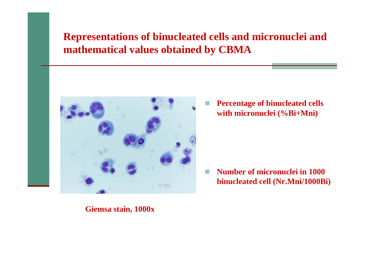## **Representations of binucleated cells and micronuclei and mathematical values obtained by CBMA**



 $\mathcal{L}_{\mathcal{A}}$  **Percentage of binucleated cells with micronuclei (%Bi+Mni)** 

T. **Number of micronuclei in <sup>1000</sup> binucleated cell (Nr.Mni/1000Bi)**

#### **Giemsa stain, 1000x**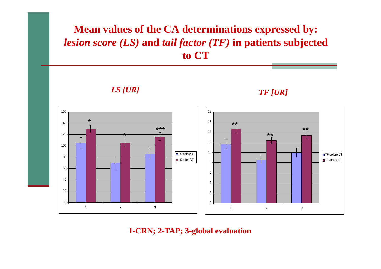## **Mean values of the CA determinations expressed by:** *lesion score (LS)* **and** *tail factor (TF)* **in patients subjected to CT**

*LS [UR]*

*TF [UR]*



**1-CRN; 2-TAP; 3-global evaluation**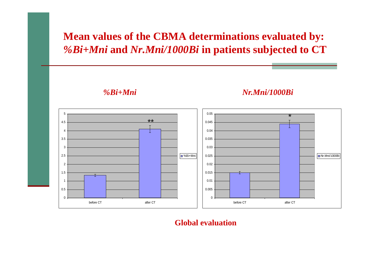# **Mean values of the CBMA determinations evaluated by:** *%Bi+Mni* **and** *Nr.Mni/1000Bi* **in patients subjected to CT**

*%Bi+Mni Nr.Mni/1000Bi*



#### **Global evaluation**